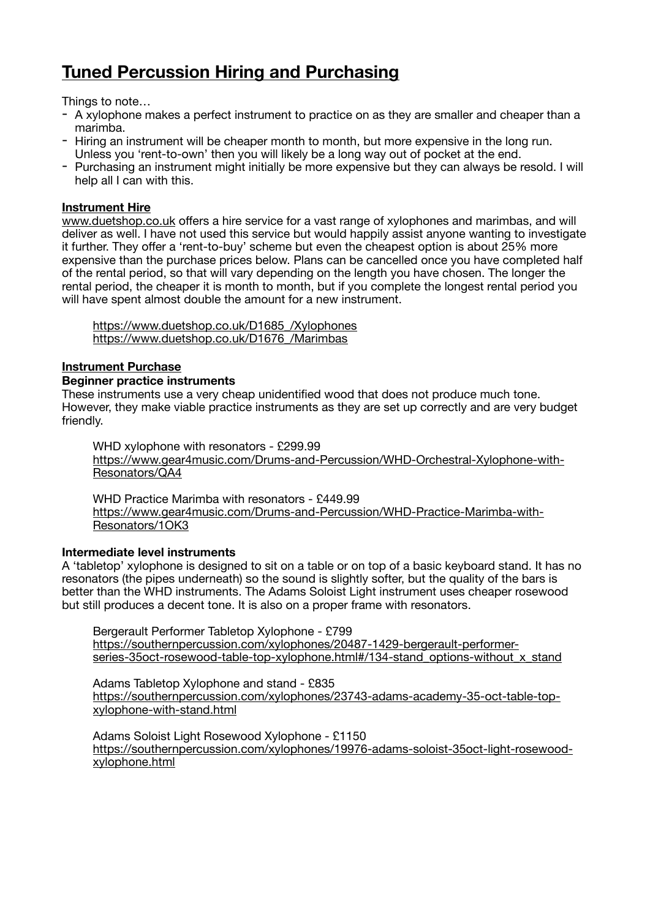# **Tuned Percussion Hiring and Purchasing**

Things to note…

- A xylophone makes a perfect instrument to practice on as they are smaller and cheaper than a marimba.
- Hiring an instrument will be cheaper month to month, but more expensive in the long run. Unless you 'rent-to-own' then you will likely be a long way out of pocket at the end.
- Purchasing an instrument might initially be more expensive but they can always be resold. I will help all I can with this.

## **Instrument Hire**

[www.duetshop.co.uk](http://www.duetshop.co.uk) offers a hire service for a vast range of xylophones and marimbas. and will deliver as well. I have not used this service but would happily assist anyone wanting to investigate it further. They offer a 'rent-to-buy' scheme but even the cheapest option is about 25% more expensive than the purchase prices below. Plans can be cancelled once you have completed half of the rental period, so that will vary depending on the length you have chosen. The longer the rental period, the cheaper it is month to month, but if you complete the longest rental period you will have spent almost double the amount for a new instrument.

https://www.duetshop.co.uk/D1685 /Xylophones https://www.duetshop.co.uk/D1676 /Marimbas

## **Instrument Purchase**

### **Beginner practice instruments**

These instruments use a very cheap unidentified wood that does not produce much tone. However, they make viable practice instruments as they are set up correctly and are very budget friendly.

WHD xylophone with resonators - £299.99 [https://www.gear4music.com/Drums-and-Percussion/WHD-Orchestral-Xylophone-with-](https://www.gear4music.com/Drums-and-Percussion/WHD-Orchestral-Xylophone-with-Resonators/QA4)[Resonators/QA4](https://www.gear4music.com/Drums-and-Percussion/WHD-Orchestral-Xylophone-with-Resonators/QA4)

WHD Practice Marimba with resonators - £449.99 [https://www.gear4music.com/Drums-and-Percussion/WHD-Practice-Marimba-with-](https://www.gear4music.com/Drums-and-Percussion/WHD-Practice-Marimba-with-Resonators/1OK3)[Resonators/1OK3](https://www.gear4music.com/Drums-and-Percussion/WHD-Practice-Marimba-with-Resonators/1OK3)

#### **Intermediate level instruments**

A 'tabletop' xylophone is designed to sit on a table or on top of a basic keyboard stand. It has no resonators (the pipes underneath) so the sound is slightly softer, but the quality of the bars is better than the WHD instruments. The Adams Soloist Light instrument uses cheaper rosewood but still produces a decent tone. It is also on a proper frame with resonators.

Bergerault Performer Tabletop Xylophone - £799 [https://southernpercussion.com/xylophones/20487-1429-bergerault-performer](https://southernpercussion.com/xylophones/20487-1429-bergerault-performer-series-35oct-rosewood-table-top-xylophone.html#/134-stand_options-without_x_stand)[series-35oct-rosewood-table-top-xylophone.html#/134-stand\\_options-without\\_x\\_stand](https://southernpercussion.com/xylophones/20487-1429-bergerault-performer-series-35oct-rosewood-table-top-xylophone.html#/134-stand_options-without_x_stand)

Adams Tabletop Xylophone and stand - £835 [https://southernpercussion.com/xylophones/23743-adams-academy-35-oct-table-top](https://southernpercussion.com/xylophones/23743-adams-academy-35-oct-table-top-xylophone-with-stand.html)[xylophone-with-stand.html](https://southernpercussion.com/xylophones/23743-adams-academy-35-oct-table-top-xylophone-with-stand.html)

Adams Soloist Light Rosewood Xylophone - £1150 [https://southernpercussion.com/xylophones/19976-adams-soloist-35oct-light-rosewood](https://southernpercussion.com/xylophones/19976-adams-soloist-35oct-light-rosewood-xylophone.html)[xylophone.html](https://southernpercussion.com/xylophones/19976-adams-soloist-35oct-light-rosewood-xylophone.html)